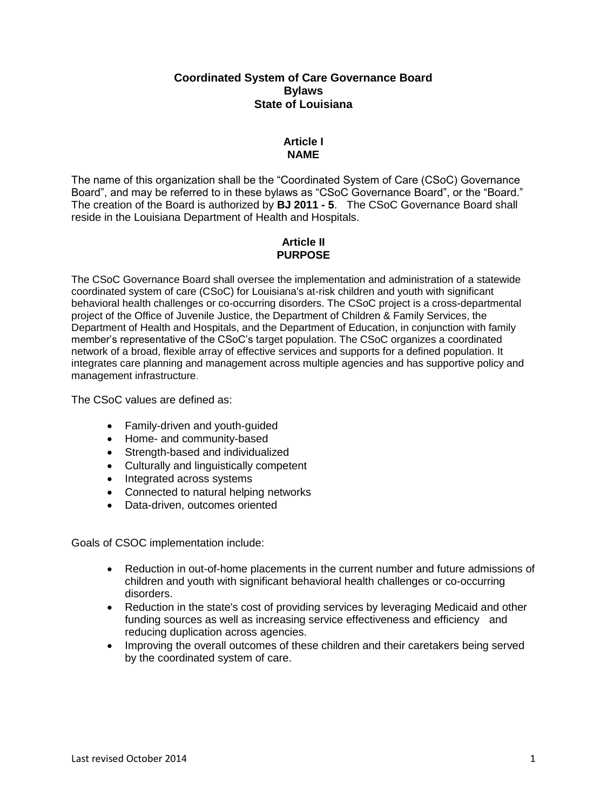### **Coordinated System of Care Governance Board Bylaws State of Louisiana**

## **Article I NAME**

The name of this organization shall be the "Coordinated System of Care (CSoC) Governance Board", and may be referred to in these bylaws as "CSoC Governance Board", or the "Board." The creation of the Board is authorized by **BJ 2011 - 5**. The CSoC Governance Board shall reside in the Louisiana Department of Health and Hospitals.

# **Article II PURPOSE**

The CSoC Governance Board shall oversee the implementation and administration of a statewide coordinated system of care (CSoC) for Louisiana's at-risk children and youth with significant behavioral health challenges or co-occurring disorders. The CSoC project is a cross-departmental project of the Office of Juvenile Justice, the Department of Children & Family Services, the Department of Health and Hospitals, and the Department of Education, in conjunction with family member's representative of the CSoC's target population. The CSoC organizes a coordinated network of a broad, flexible array of effective services and supports for a defined population. It integrates care planning and management across multiple agencies and has supportive policy and management infrastructure.

The CSoC values are defined as:

- Family-driven and youth-guided
- Home- and community-based
- Strength-based and individualized
- Culturally and linguistically competent
- Integrated across systems
- Connected to natural helping networks
- Data-driven, outcomes oriented

Goals of CSOC implementation include:

- Reduction in out-of-home placements in the current number and future admissions of children and youth with significant behavioral health challenges or co-occurring disorders.
- Reduction in the state's cost of providing services by leveraging Medicaid and other funding sources as well as increasing service effectiveness and efficiency and reducing duplication across agencies.
- Improving the overall outcomes of these children and their caretakers being served by the coordinated system of care.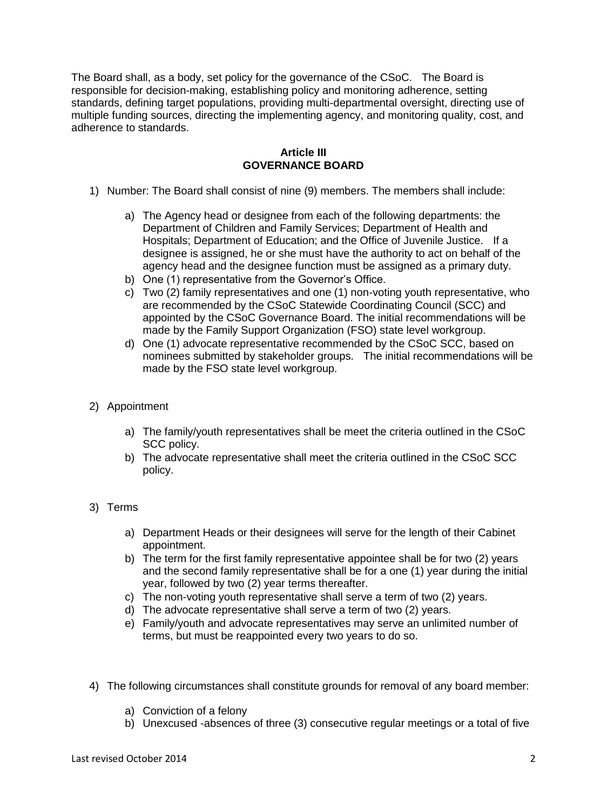The Board shall, as a body, set policy for the governance of the CSoC. The Board is responsible for decision-making, establishing policy and monitoring adherence, setting standards, defining target populations, providing multi-departmental oversight, directing use of multiple funding sources, directing the implementing agency, and monitoring quality, cost, and adherence to standards.

## **Article III GOVERNANCE BOARD**

- 1) Number: The Board shall consist of nine (9) members. The members shall include:
	- a) The Agency head or designee from each of the following departments: the Department of Children and Family Services; Department of Health and Hospitals; Department of Education; and the Office of Juvenile Justice. If a designee is assigned, he or she must have the authority to act on behalf of the agency head and the designee function must be assigned as a primary duty.
	- b) One (1) representative from the Governor's Office.
	- c) Two (2) family representatives and one (1) non-voting youth representative, who are recommended by the CSoC Statewide Coordinating Council (SCC) and appointed by the CSoC Governance Board. The initial recommendations will be made by the Family Support Organization (FSO) state level workgroup.
	- d) One (1) advocate representative recommended by the CSoC SCC, based on nominees submitted by stakeholder groups. The initial recommendations will be made by the FSO state level workgroup.
- 2) Appointment
	- a) The family/youth representatives shall be meet the criteria outlined in the CSoC SCC policy.
	- b) The advocate representative shall meet the criteria outlined in the CSoC SCC policy.
- 3) Terms
	- a) Department Heads or their designees will serve for the length of their Cabinet appointment.
	- b) The term for the first family representative appointee shall be for two (2) years and the second family representative shall be for a one (1) year during the initial year, followed by two (2) year terms thereafter.
	- c) The non-voting youth representative shall serve a term of two (2) years.
	- d) The advocate representative shall serve a term of two (2) years.
	- e) Family/youth and advocate representatives may serve an unlimited number of terms, but must be reappointed every two years to do so.
- 4) The following circumstances shall constitute grounds for removal of any board member:
	- a) Conviction of a felony
	- b) Unexcused -absences of three (3) consecutive regular meetings or a total of five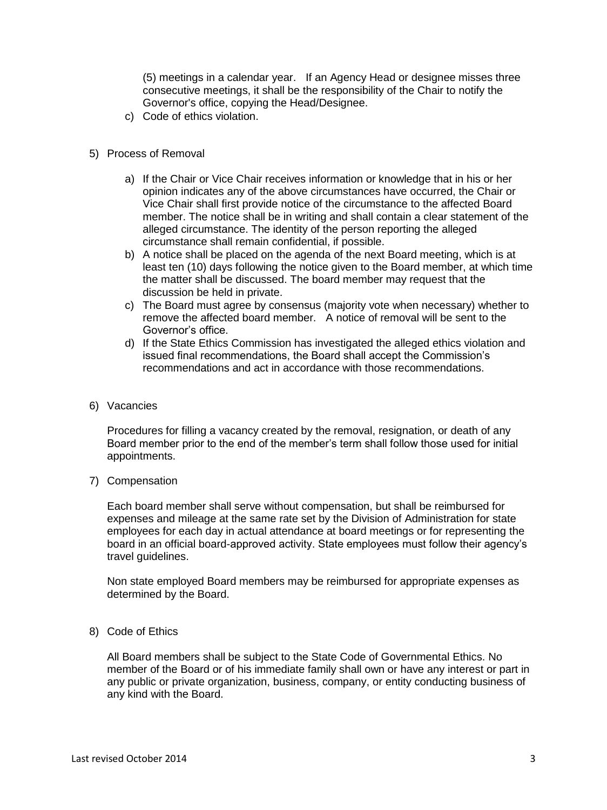(5) meetings in a calendar year. If an Agency Head or designee misses three consecutive meetings, it shall be the responsibility of the Chair to notify the Governor's office, copying the Head/Designee.

- c) Code of ethics violation.
- 5) Process of Removal
	- a) If the Chair or Vice Chair receives information or knowledge that in his or her opinion indicates any of the above circumstances have occurred, the Chair or Vice Chair shall first provide notice of the circumstance to the affected Board member. The notice shall be in writing and shall contain a clear statement of the alleged circumstance. The identity of the person reporting the alleged circumstance shall remain confidential, if possible.
	- b) A notice shall be placed on the agenda of the next Board meeting, which is at least ten (10) days following the notice given to the Board member, at which time the matter shall be discussed. The board member may request that the discussion be held in private.
	- c) The Board must agree by consensus (majority vote when necessary) whether to remove the affected board member. A notice of removal will be sent to the Governor's office.
	- d) If the State Ethics Commission has investigated the alleged ethics violation and issued final recommendations, the Board shall accept the Commission's recommendations and act in accordance with those recommendations.
- 6) Vacancies

Procedures for filling a vacancy created by the removal, resignation, or death of any Board member prior to the end of the member's term shall follow those used for initial appointments.

7) Compensation

Each board member shall serve without compensation, but shall be reimbursed for expenses and mileage at the same rate set by the Division of Administration for state employees for each day in actual attendance at board meetings or for representing the board in an official board-approved activity. State employees must follow their agency's travel guidelines.

Non state employed Board members may be reimbursed for appropriate expenses as determined by the Board.

8) Code of Ethics

All Board members shall be subject to the State Code of Governmental Ethics. No member of the Board or of his immediate family shall own or have any interest or part in any public or private organization, business, company, or entity conducting business of any kind with the Board.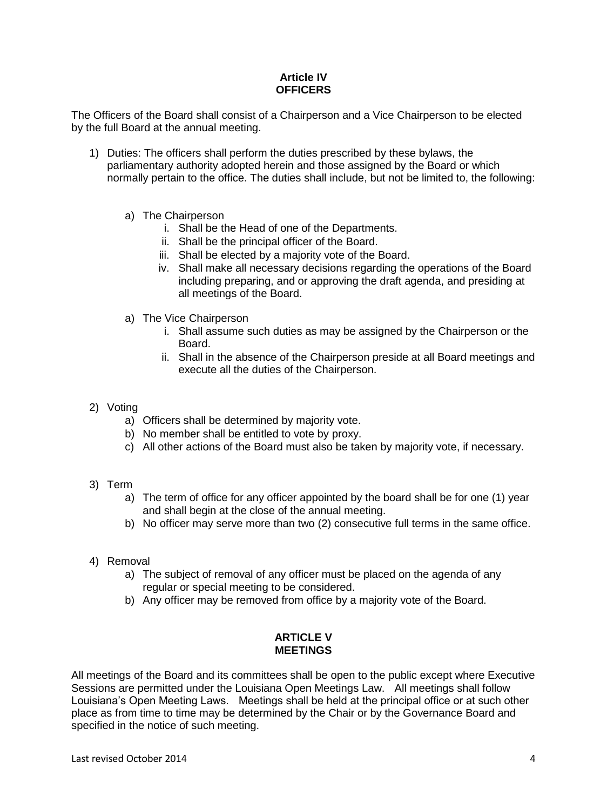# **Article IV OFFICERS**

The Officers of the Board shall consist of a Chairperson and a Vice Chairperson to be elected by the full Board at the annual meeting.

- 1) Duties: The officers shall perform the duties prescribed by these bylaws, the parliamentary authority adopted herein and those assigned by the Board or which normally pertain to the office. The duties shall include, but not be limited to, the following:
	- a) The Chairperson
		- i. Shall be the Head of one of the Departments.
		- ii. Shall be the principal officer of the Board.
		- iii. Shall be elected by a majority vote of the Board.
		- iv. Shall make all necessary decisions regarding the operations of the Board including preparing, and or approving the draft agenda, and presiding at all meetings of the Board.
	- a) The Vice Chairperson
		- i. Shall assume such duties as may be assigned by the Chairperson or the Board.
		- ii. Shall in the absence of the Chairperson preside at all Board meetings and execute all the duties of the Chairperson.
- 2) Voting
	- a) Officers shall be determined by majority vote.
	- b) No member shall be entitled to vote by proxy.
	- c) All other actions of the Board must also be taken by majority vote, if necessary.
- 3) Term
	- a) The term of office for any officer appointed by the board shall be for one (1) year and shall begin at the close of the annual meeting.
	- b) No officer may serve more than two (2) consecutive full terms in the same office.
- 4) Removal
	- a) The subject of removal of any officer must be placed on the agenda of any regular or special meeting to be considered.
	- b) Any officer may be removed from office by a majority vote of the Board.

#### **ARTICLE V MEETINGS**

All meetings of the Board and its committees shall be open to the public except where Executive Sessions are permitted under the Louisiana Open Meetings Law. All meetings shall follow Louisiana's Open Meeting Laws. Meetings shall be held at the principal office or at such other place as from time to time may be determined by the Chair or by the Governance Board and specified in the notice of such meeting.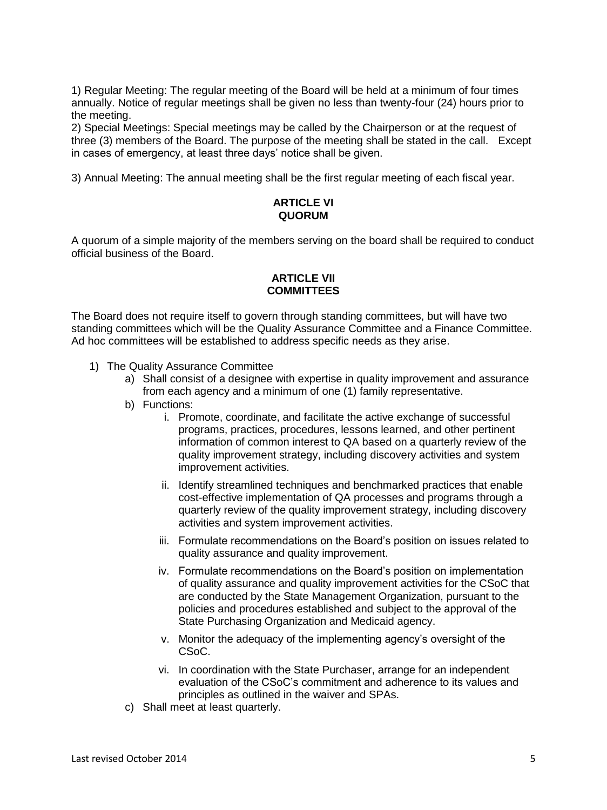1) Regular Meeting: The regular meeting of the Board will be held at a minimum of four times annually. Notice of regular meetings shall be given no less than twenty-four (24) hours prior to the meeting.

2) Special Meetings: Special meetings may be called by the Chairperson or at the request of three (3) members of the Board. The purpose of the meeting shall be stated in the call. Except in cases of emergency, at least three days' notice shall be given.

3) Annual Meeting: The annual meeting shall be the first regular meeting of each fiscal year.

## **ARTICLE VI QUORUM**

A quorum of a simple majority of the members serving on the board shall be required to conduct official business of the Board.

### **ARTICLE VII COMMITTEES**

The Board does not require itself to govern through standing committees, but will have two standing committees which will be the Quality Assurance Committee and a Finance Committee. Ad hoc committees will be established to address specific needs as they arise.

- 1) The Quality Assurance Committee
	- a) Shall consist of a designee with expertise in quality improvement and assurance from each agency and a minimum of one (1) family representative.
	- b) Functions:
		- i. Promote, coordinate, and facilitate the active exchange of successful programs, practices, procedures, lessons learned, and other pertinent information of common interest to QA based on a quarterly review of the quality improvement strategy, including discovery activities and system improvement activities.
		- ii. Identify streamlined techniques and benchmarked practices that enable cost-effective implementation of QA processes and programs through a quarterly review of the quality improvement strategy, including discovery activities and system improvement activities.
		- iii. Formulate recommendations on the Board's position on issues related to quality assurance and quality improvement.
		- iv. Formulate recommendations on the Board's position on implementation of quality assurance and quality improvement activities for the CSoC that are conducted by the State Management Organization, pursuant to the policies and procedures established and subject to the approval of the State Purchasing Organization and Medicaid agency.
		- v. Monitor the adequacy of the implementing agency's oversight of the CSoC.
		- vi. In coordination with the State Purchaser, arrange for an independent evaluation of the CSoC's commitment and adherence to its values and principles as outlined in the waiver and SPAs.
	- c) Shall meet at least quarterly.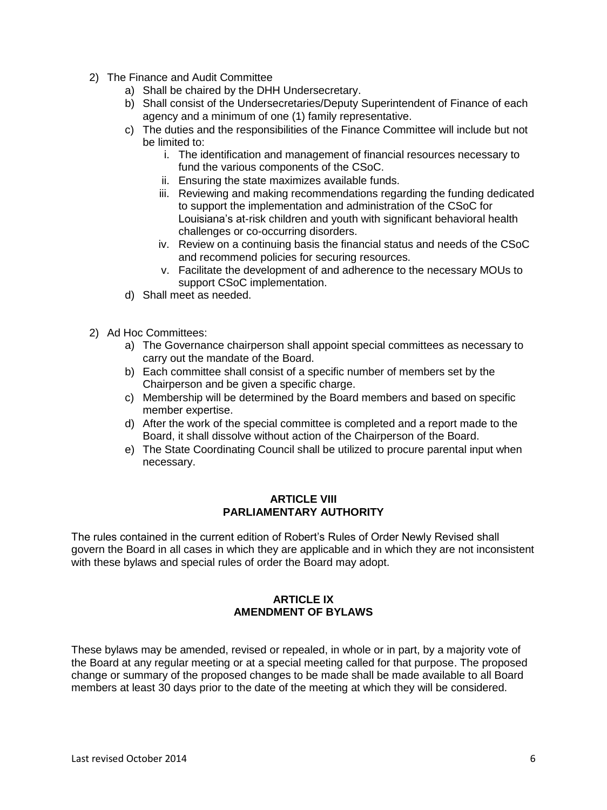- 2) The Finance and Audit Committee
	- a) Shall be chaired by the DHH Undersecretary.
	- b) Shall consist of the Undersecretaries/Deputy Superintendent of Finance of each agency and a minimum of one (1) family representative.
	- c) The duties and the responsibilities of the Finance Committee will include but not be limited to:
		- i. The identification and management of financial resources necessary to fund the various components of the CSoC.
		- ii. Ensuring the state maximizes available funds.
		- iii. Reviewing and making recommendations regarding the funding dedicated to support the implementation and administration of the CSoC for Louisiana's at-risk children and youth with significant behavioral health challenges or co-occurring disorders.
		- iv. Review on a continuing basis the financial status and needs of the CSoC and recommend policies for securing resources.
		- v. Facilitate the development of and adherence to the necessary MOUs to support CSoC implementation.
	- d) Shall meet as needed.
- 2) Ad Hoc Committees:
	- a) The Governance chairperson shall appoint special committees as necessary to carry out the mandate of the Board.
	- b) Each committee shall consist of a specific number of members set by the Chairperson and be given a specific charge.
	- c) Membership will be determined by the Board members and based on specific member expertise.
	- d) After the work of the special committee is completed and a report made to the Board, it shall dissolve without action of the Chairperson of the Board.
	- e) The State Coordinating Council shall be utilized to procure parental input when necessary.

#### **ARTICLE VIII PARLIAMENTARY AUTHORITY**

The rules contained in the current edition of Robert's Rules of Order Newly Revised shall govern the Board in all cases in which they are applicable and in which they are not inconsistent with these bylaws and special rules of order the Board may adopt.

## **ARTICLE IX AMENDMENT OF BYLAWS**

These bylaws may be amended, revised or repealed, in whole or in part, by a majority vote of the Board at any regular meeting or at a special meeting called for that purpose. The proposed change or summary of the proposed changes to be made shall be made available to all Board members at least 30 days prior to the date of the meeting at which they will be considered.